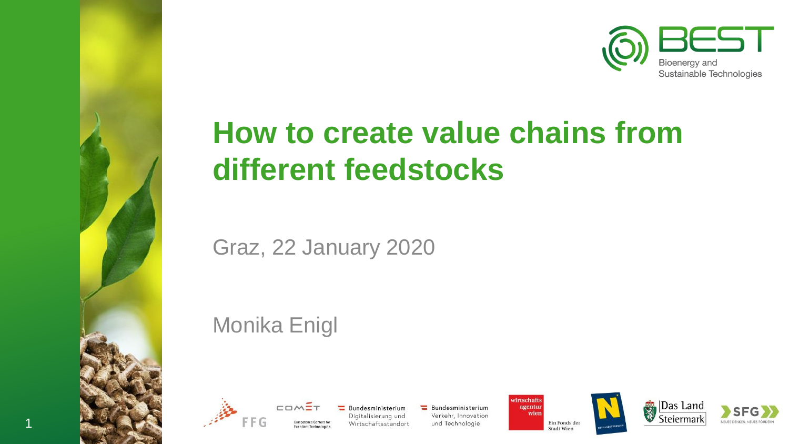

# **How to create value chains from different feedstocks**

Graz, 22 January 2020

Monika Enigl



Bundesministerium Digitalisierung und Wirtschaftsstandort

Bundesministerium Verkehr, Innovation und Technologie

wirtschafts agentur wien Ein Fonds der Stadt Wien







1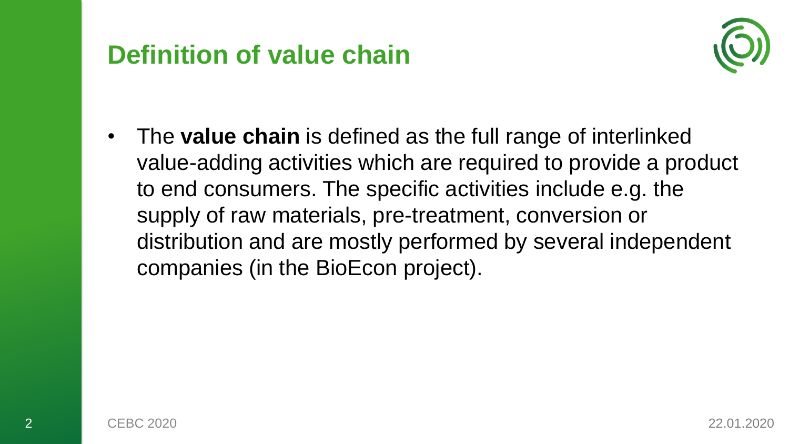### **Definition of value chain**



• The **value chain** is defined as the full range of interlinked value-adding activities which are required to provide a product to end consumers. The specific activities include e.g. the supply of raw materials, pre-treatment, conversion or distribution and are mostly performed by several independent companies (in the BioEcon project).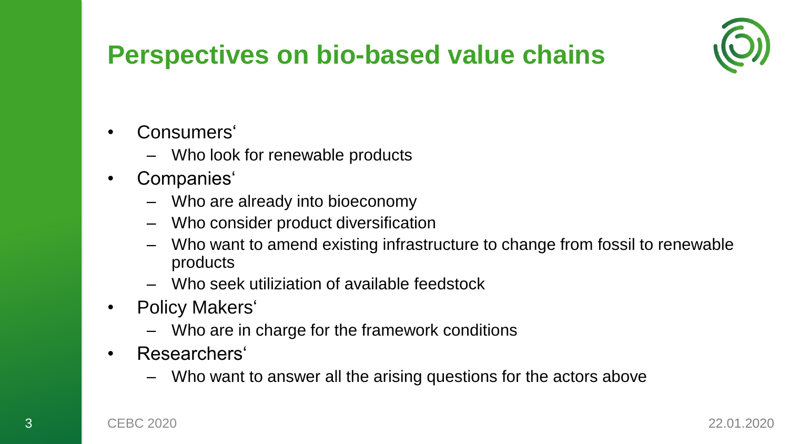

### **Perspectives on bio-based value chains**

- Consumers'
	- Who look for renewable products
- Companies'
	- Who are already into bioeconomy
	- Who consider product diversification
	- Who want to amend existing infrastructure to change from fossil to renewable products
	- Who seek utiliziation of available feedstock
- Policy Makers'
	- Who are in charge for the framework conditions
- Researchers'
	- Who want to answer all the arising questions for the actors above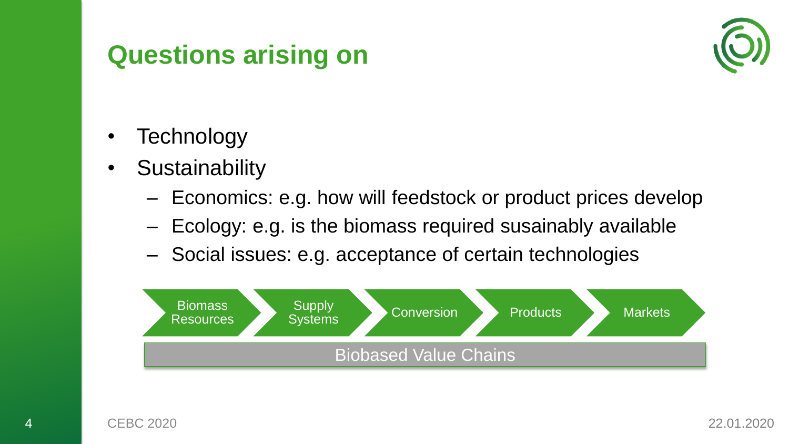### **Questions arising on**



- **Technology**
- Sustainability
	- Economics: e.g. how will feedstock or product prices develop
	- Ecology: e.g. is the biomass required susainably available
	- Social issues: e.g. acceptance of certain technologies

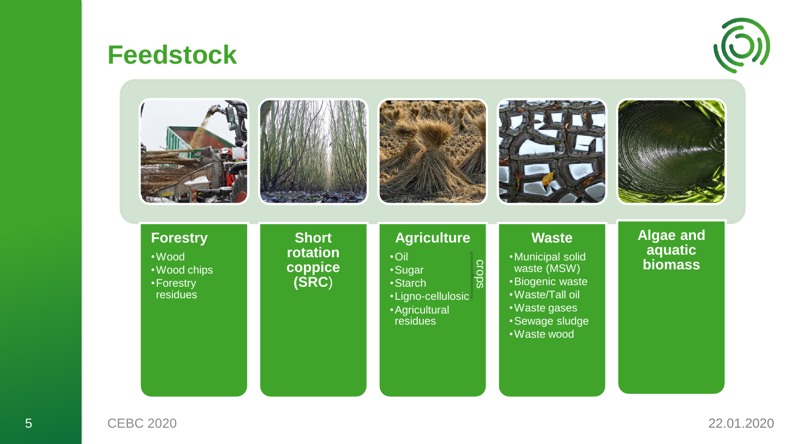### **Feedstock**





5 CEBC 2020 22.01.2020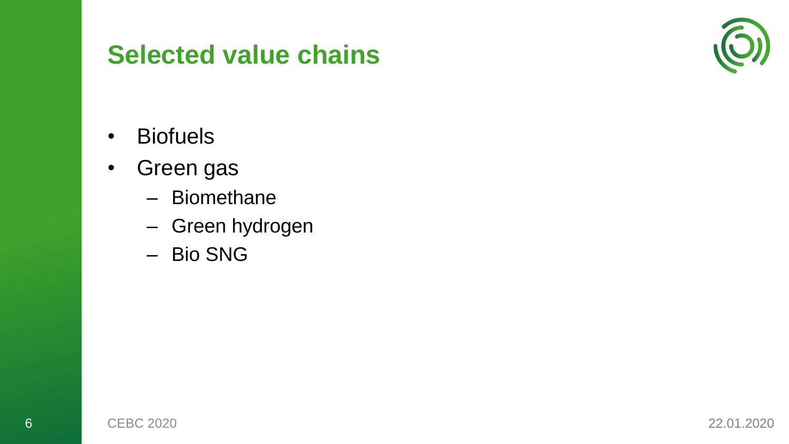### **Selected value chains**



- Biofuels
- Green gas
	- Biomethane
	- Green hydrogen
	- Bio SNG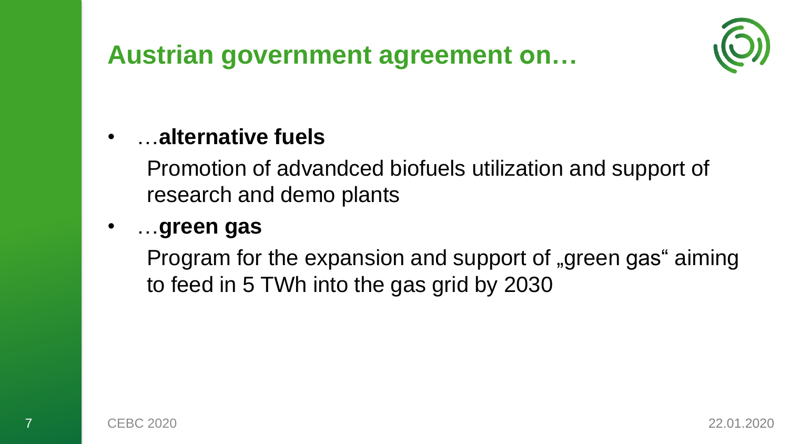



#### • …**alternative fuels**

Promotion of advandced biofuels utilization and support of research and demo plants

#### • …**green gas**

Program for the expansion and support of "green gas" aiming to feed in 5 TWh into the gas grid by 2030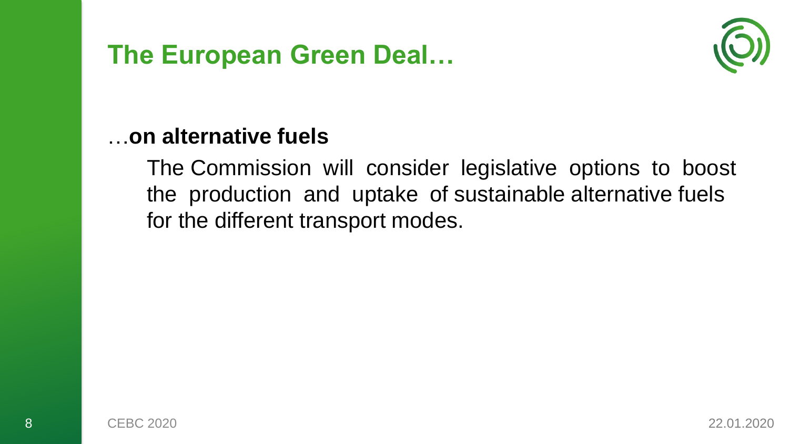### **The European Green Deal…**



#### …**on alternative fuels**

The Commission will consider legislative options to boost the production and uptake of sustainable alternative fuels for the different transport modes.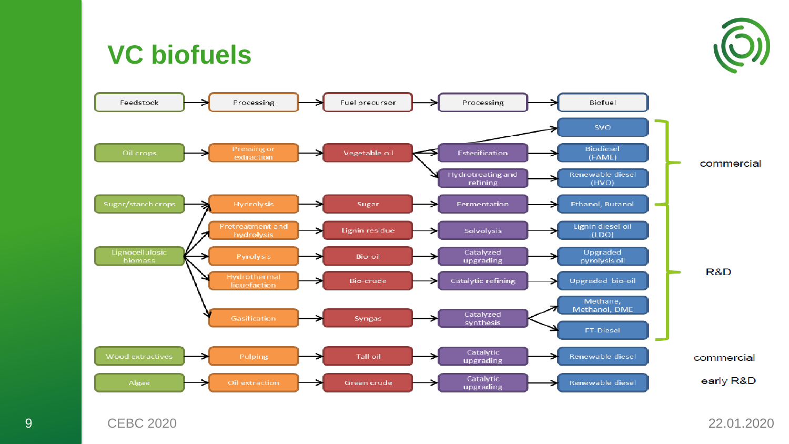

### **VC biofuels**

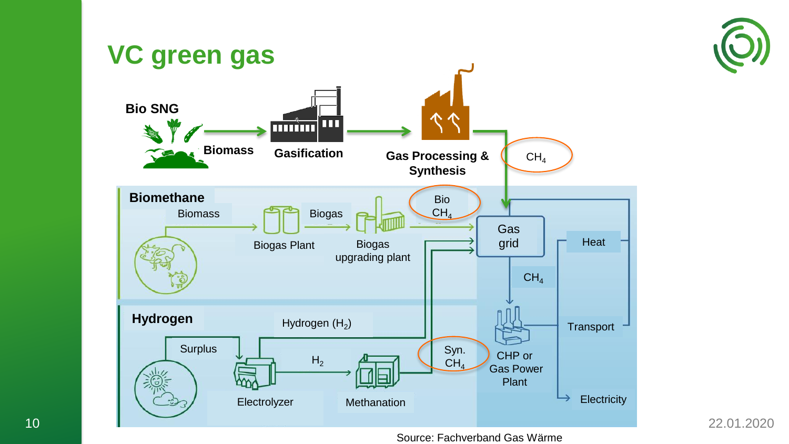

22.01.2020



Source: Fachverband Gas Wärme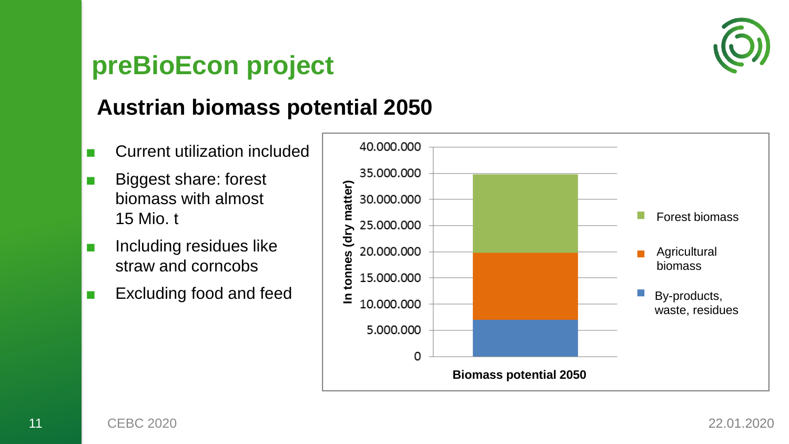

### **preBioEcon project**

#### **Austrian biomass potential 2050**

- Current utilization included
- Biggest share: forest biomass with almost 15 Mio. t
- Including residues like straw and corncobs
- Excluding food and feed

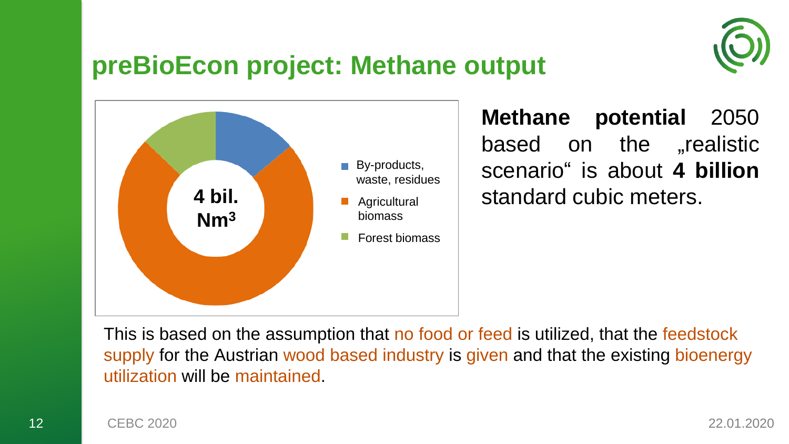

### **preBioEcon project: Methane output**



**Methane potential** 2050 based on the **"**realistic scenario" is about **4 billion** standard cubic meters.

This is based on the assumption that no food or feed is utilized, that the feedstock supply for the Austrian wood based industry is given and that the existing bioenergy utilization will be maintained.

12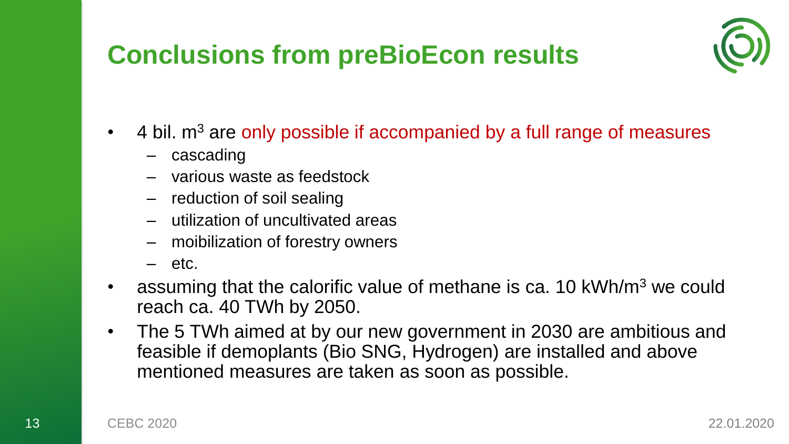## **Conclusions from preBioEcon results**



- 4 bil.  $m<sup>3</sup>$  are only possible if accompanied by a full range of measures
	- cascading
	- various waste as feedstock
	- reduction of soil sealing
	- utilization of uncultivated areas
	- moibilization of forestry owners
	- $-$  etc.
- assuming that the calorific value of methane is ca. 10 kWh/m<sup>3</sup> we could reach ca. 40 TWh by 2050.
- The 5 TWh aimed at by our new government in 2030 are ambitious and feasible if demoplants (Bio SNG, Hydrogen) are installed and above mentioned measures are taken as soon as possible.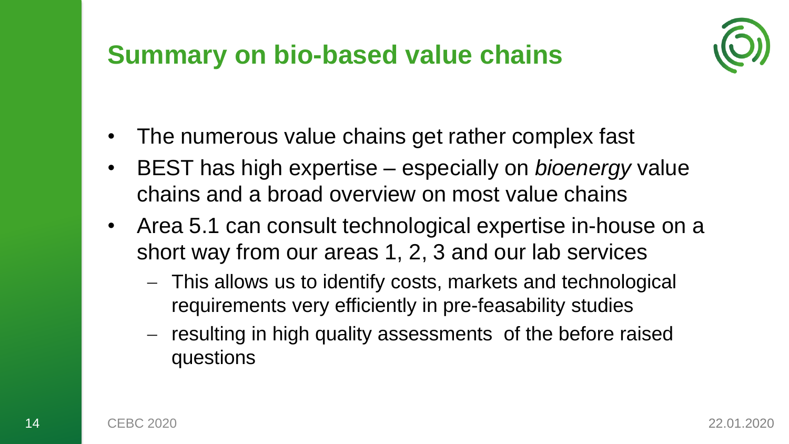### **Summary on bio-based value chains**



- The numerous value chains get rather complex fast
- BEST has high expertise especially on *bioenergy* value chains and a broad overview on most value chains
- Area 5.1 can consult technological expertise in-house on a short way from our areas 1, 2, 3 and our lab services
	- This allows us to identify costs, markets and technological requirements very efficiently in pre-feasability studies
	- $-$  resulting in high quality assessments of the before raised questions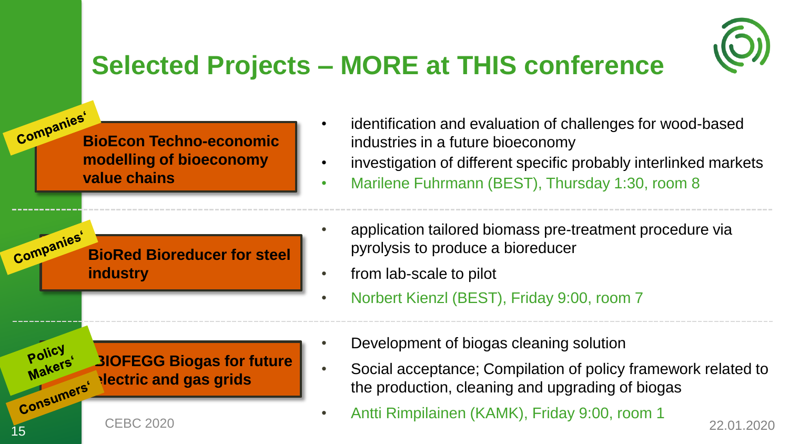

# **Selected Projects – MORE at THIS conference**

**BioEcon Techno-economic modelling of bioeconomy value chains**

**BioRed Bioreducer for steel industry**

**BIOFEGG Biogas for future Manumers' Mectric and gas grids** 

• identification and evaluation of challenges for wood-based industries in a future bioeconomy

- investigation of different specific probably interlinked markets
- Marilene Fuhrmann (BEST), Thursday 1:30, room 8
- application tailored biomass pre-treatment procedure via pyrolysis to produce a bioreducer
- from lab-scale to pilot
- Norbert Kienzl (BEST), Friday 9:00, room 7
- Development of biogas cleaning solution
- Social acceptance; Compilation of policy framework related to the production, cleaning and upgrading of biogas
- e Antti Rimpilainen (KAMK), Friday 9:00, room 1

15

Policy Makers'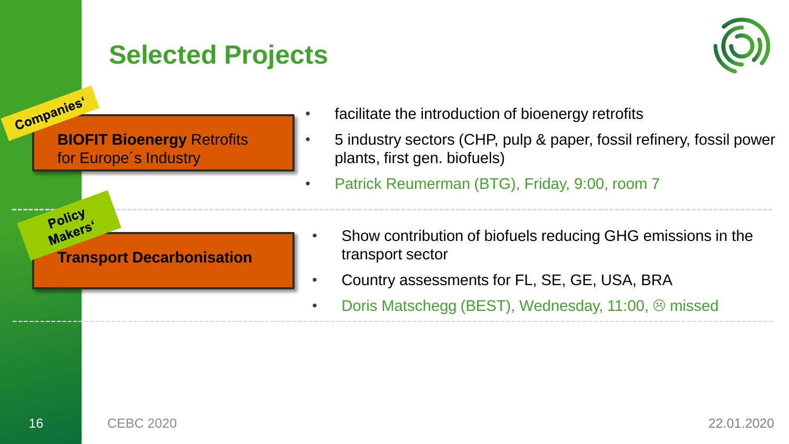### **Selected Projects**



- facilitate the introduction of bioenergy retrofits
- 5 industry sectors (CHP, pulp & paper, fossil refinery, fossil power plants, first gen. biofuels)
- Patrick Reumerman (BTG), Friday, 9:00, room 7
- Show contribution of biofuels reducing GHG emissions in the transport sector
- Country assessments for FL, SE, GE, USA, BRA
- Doris Matschegg (BEST), Wednesday, 11:00,  $\odot$  missed

**Company Company**<br> **BIOFIT Bioenergy Retrofits** 

for Europe´s Industry

Policy **POILETS** 

**Transport Decarbonisation**